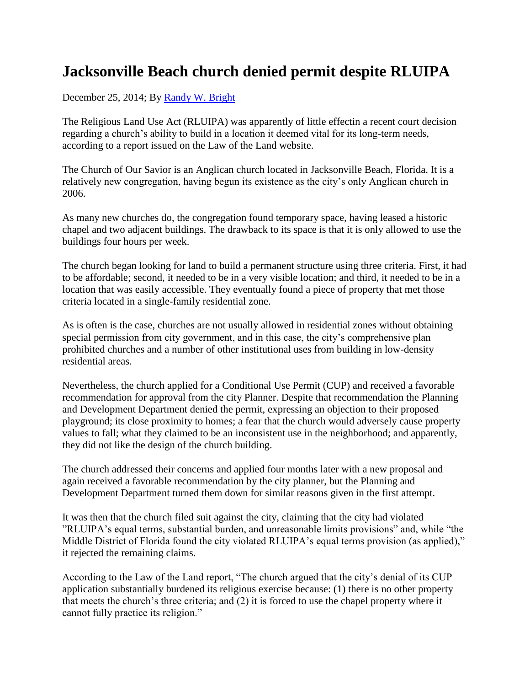## **Jacksonville Beach church denied permit despite RLUIPA**

December 25, 2014; By [Randy W. Bright](http://www.tulsabeacon.com/author/slug-o6yd1v)

The Religious Land Use Act (RLUIPA) was apparently of little effectin a recent court decision regarding a church's ability to build in a location it deemed vital for its long-term needs, according to a report issued on the Law of the Land website.

The Church of Our Savior is an Anglican church located in Jacksonville Beach, Florida. It is a relatively new congregation, having begun its existence as the city's only Anglican church in 2006.

As many new churches do, the congregation found temporary space, having leased a historic chapel and two adjacent buildings. The drawback to its space is that it is only allowed to use the buildings four hours per week.

The church began looking for land to build a permanent structure using three criteria. First, it had to be affordable; second, it needed to be in a very visible location; and third, it needed to be in a location that was easily accessible. They eventually found a piece of property that met those criteria located in a single-family residential zone.

As is often is the case, churches are not usually allowed in residential zones without obtaining special permission from city government, and in this case, the city's comprehensive plan prohibited churches and a number of other institutional uses from building in low-density residential areas.

Nevertheless, the church applied for a Conditional Use Permit (CUP) and received a favorable recommendation for approval from the city Planner. Despite that recommendation the Planning and Development Department denied the permit, expressing an objection to their proposed playground; its close proximity to homes; a fear that the church would adversely cause property values to fall; what they claimed to be an inconsistent use in the neighborhood; and apparently, they did not like the design of the church building.

The church addressed their concerns and applied four months later with a new proposal and again received a favorable recommendation by the city planner, but the Planning and Development Department turned them down for similar reasons given in the first attempt.

It was then that the church filed suit against the city, claiming that the city had violated "RLUIPA's equal terms, substantial burden, and unreasonable limits provisions" and, while "the Middle District of Florida found the city violated RLUIPA's equal terms provision (as applied)," it rejected the remaining claims.

According to the Law of the Land report, "The church argued that the city's denial of its CUP application substantially burdened its religious exercise because: (1) there is no other property that meets the church's three criteria; and (2) it is forced to use the chapel property where it cannot fully practice its religion."